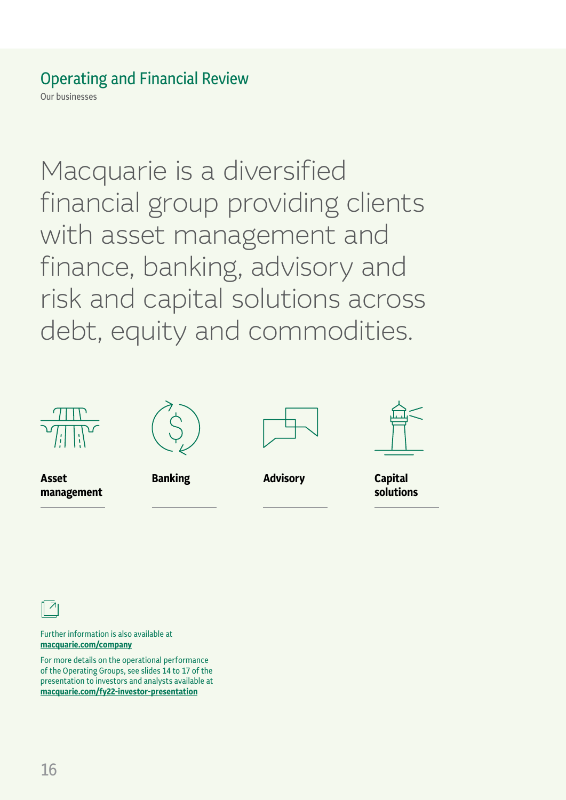Our businesses

Macquarie is a diversified financial group providing clients with asset management and finance, banking, advisory and risk and capital solutions across debt, equity and commodities.



**management**

**Asset**









**solutions**

 $\overline{\phantom{a}}$ 

Further information is also available at **macquarie.c[om/company](https://www.macquarie.com/about/company.html)**

For more details on the operational performance of the Operating Groups, see slides 14 to 17 of the presentation to investors and analysts available at **macquarie.com/fy2[2-investor-presentation](https://www.macquarie.com/fy22-investor-presentation)**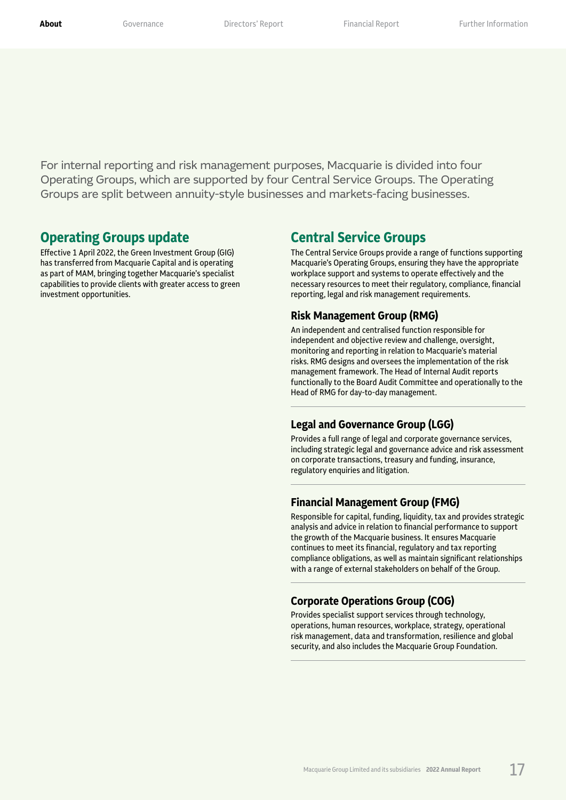For internal reporting and risk management purposes, Macquarie is divided into four Operating Groups, which are supported by four Central Service Groups. The Operating Groups are split between annuity-style businesses and markets-facing businesses.

### **Operating Groups update**

Effective 1 April 2022, the Green Investment Group (GIG) has transferred from Macquarie Capital and is operating as part of MAM, bringing together Macquarie's specialist capabilities to provide clients with greater access to green investment opportunities.

### **Central Service Groups**

The Central Service Groups provide a range of functions supporting Macquarie's Operating Groups, ensuring they have the appropriate workplace support and systems to operate effectively and the necessary resources to meet their regulatory, compliance, financial reporting, legal and risk management requirements.

### **Risk Management Group (RMG)**

An independent and centralised function responsible for independent and objective review and challenge, oversight, monitoring and reporting in relation to Macquarie's material risks. RMG designs and oversees the implementation of the risk management framework. The Head of Internal Audit reports functionally to the Board Audit Committee and operationally to the Head of RMG for day-to-day management.

### **Legal and Governance Group (LGG)**

Provides a full range of legal and corporate governance services, including strategic legal and governance advice and risk assessment on corporate transactions, treasury and funding, insurance, regulatory enquiries and litigation.

### **Financial Management Group (FMG)**

Responsible for capital, funding, liquidity, tax and provides strategic analysis and advice in relation to financial performance to support the growth of the Macquarie business. It ensures Macquarie continues to meet its financial, regulatory and tax reporting compliance obligations, as well as maintain significant relationships with a range of external stakeholders on behalf of the Group.

### **Corporate Operations Group (COG)**

Provides specialist support services through technology, operations, human resources, workplace, strategy, operational risk management, data and transformation, resilience and global security, and also includes the Macquarie Group Foundation.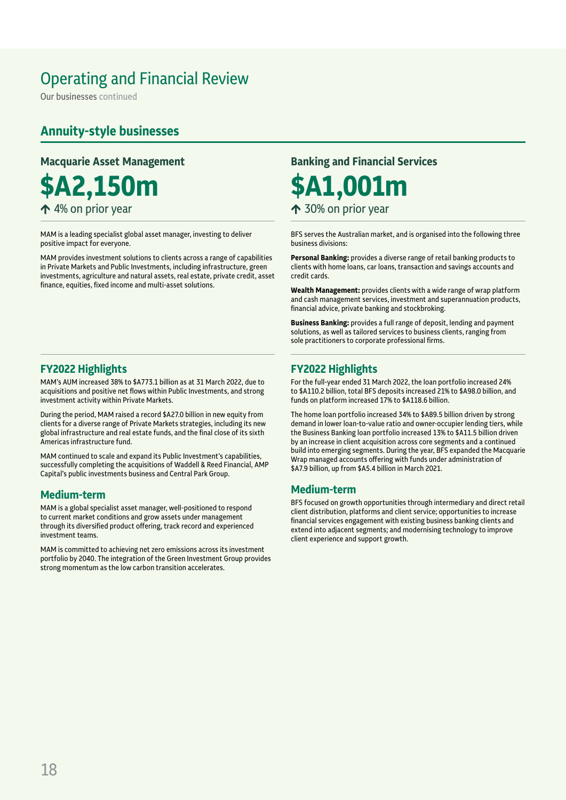Our businesses continued

### **Annuity‑style businesses**

**\$A2,150m \$A1,001m**  $\uparrow$  4% on prior year  $\uparrow$  30% on prior year

MAM is a leading specialist global asset manager, investing to deliver positive impact for everyone.

MAM provides investment solutions to clients across a range of capabilities in Private Markets and Public Investments, including infrastructure, green investments, agriculture and natural assets, real estate, private credit, asset finance, equities, fixed income and multi-asset solutions.

### **FY2022 Highlights**

MAM's AUM increased 38% to \$A773.1 billion as at 31 March 2022, due to acquisitions and positive net flows within Public Investments, and strong investment activity within Private Markets.

During the period, MAM raised a record \$A27.0 billion in new equity from clients for a diverse range of Private Markets strategies, including its new global infrastructure and real estate funds, and the final close of its sixth Americas infrastructure fund.

MAM continued to scale and expand its Public Investment's capabilities, successfully completing the acquisitions of Waddell & Reed Financial, AMP Capital's public investments business and Central Park Group.

### **Medium‑term**

MAM is a global specialist asset manager, well-positioned to respond to current market conditions and grow assets under management through its diversified product offering, track record and experienced investment teams.

MAM is committed to achieving net zero emissions across its investment portfolio by 2040. The integration of the Green Investment Group provides strong momentum as the low carbon transition accelerates.

### **Macquarie Asset Management Banking and Financial Services**

BFS serves the Australian market, and is organised into the following three business divisions:

**Personal Banking:** provides a diverse range of retail banking products to clients with home loans, car loans, transaction and savings accounts and credit cards.

**Wealth Management:** provides clients with a wide range of wrap platform and cash management services, investment and superannuation products, financial advice, private banking and stockbroking.

**Business Banking:** provides a full range of deposit, lending and payment solutions, as well as tailored services to business clients, ranging from sole practitioners to corporate professional firms.

### **FY2022 Highlights**

For the full-year ended 31 March 2022, the loan portfolio increased 24% to \$A110.2 billion, total BFS deposits increased 21% to \$A98.0 billion, and funds on platform increased 17% to \$A118.6 billion.

The home loan portfolio increased 34% to \$A89.5 billion driven by strong demand in lower loan-to-value ratio and owner-occupier lending tiers, while the Business Banking loan portfolio increased 13% to \$A11.5 billion driven by an increase in client acquisition across core segments and a continued build into emerging segments. During the year, BFS expanded the Macquarie Wrap managed accounts offering with funds under administration of \$A7.9 billion, up from \$A5.4 billion in March 2021.

### **Medium‑term**

BFS focused on growth opportunities through intermediary and direct retail client distribution, platforms and client service; opportunities to increase financial services engagement with existing business banking clients and extend into adjacent segments; and modernising technology to improve client experience and support growth.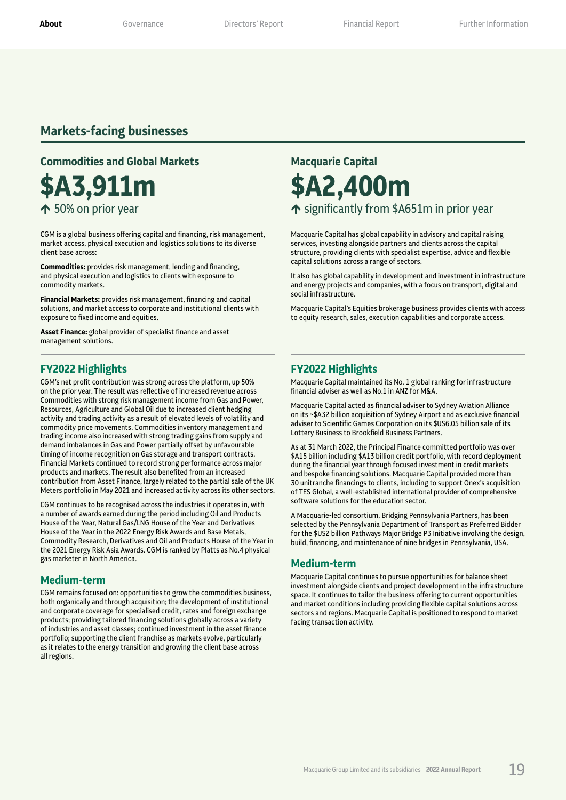### **Markets‑facing businesses**

### **Commodities and Global Markets <b>Macquarie Capital**

CGM is a global business offering capital and financing, risk management, market access, physical execution and logistics solutions to its diverse client base across:

**Commodities:** provides risk management, lending and financing, and physical execution and logistics to clients with exposure to commodity markets.

**Financial Markets:** provides risk management, financing and capital solutions, and market access to corporate and institutional clients with exposure to fixed income and equities.

**Asset Finance:** global provider of specialist finance and asset management solutions.

### **FY2022 Highlights**

CGM's net profit contribution was strong across the platform, up 50% on the prior year. The result was reflective of increased revenue across Commodities with strong risk management income from Gas and Power, Resources, Agriculture and Global Oil due to increased client hedging activity and trading activity as a result of elevated levels of volatility and commodity price movements. Commodities inventory management and trading income also increased with strong trading gains from supply and demand imbalances in Gas and Power partially offset by unfavourable timing of income recognition on Gas storage and transport contracts. Financial Markets continued to record strong performance across major products and markets. The result also benefited from an increased contribution from Asset Finance, largely related to the partial sale of the UK Meters portfolio in May 2021 and increased activity across its other sectors.

CGM continues to be recognised across the industries it operates in, with a number of awards earned during the period including Oil and Products House of the Year, Natural Gas/LNG House of the Year and Derivatives House of the Year in the 2022 Energy Risk Awards and Base Metals, Commodity Research, Derivatives and Oil and Products House of the Year in the 2021 Energy Risk Asia Awards. CGM is ranked by Platts as No.4 physical gas marketer in North America.

### **Medium‑term**

CGM remains focused on: opportunities to grow the commodities business, both organically and through acquisition; the development of institutional and corporate coverage for specialised credit, rates and foreign exchange products; providing tailored financing solutions globally across a variety of industries and asset classes; continued investment in the asset finance portfolio; supporting the client franchise as markets evolve, particularly as it relates to the energy transition and growing the client base across all regions.

# **\$A3,911m \$A2,400m**

 $\uparrow$  50% on prior year  $\uparrow$  significantly from \$A651m in prior year

Macquarie Capital has global capability in advisory and capital raising services, investing alongside partners and clients across the capital structure, providing clients with specialist expertise, advice and flexible capital solutions across a range of sectors.

It also has global capability in development and investment in infrastructure and energy projects and companies, with a focus on transport, digital and social infrastructure.

Macquarie Capital's Equities brokerage business provides clients with access to equity research, sales, execution capabilities and corporate access.

### **FY2022 Highlights**

Macquarie Capital maintained its No. 1 global ranking for infrastructure financial adviser as well as No.1 in ANZ for M&A.

Macquarie Capital acted as financial adviser to Sydney Aviation Alliance on its ~\$A32 billion acquisition of Sydney Airport and as exclusive financial adviser to Scientific Games Corporation on its \$US6.05 billion sale of its Lottery Business to Brookfield Business Partners.

As at 31 March 2022, the Principal Finance committed portfolio was over \$A15 billion including \$A13 billion credit portfolio, with record deployment during the financial year through focused investment in credit markets and bespoke financing solutions. Macquarie Capital provided more than 30 unitranche financings to clients, including to support Onex's acquisition of TES Global, a well-established international provider of comprehensive software solutions for the education sector.

A Macquarie-led consortium, Bridging Pennsylvania Partners, has been selected by the Pennsylvania Department of Transport as Preferred Bidder for the \$US2 billion Pathways Major Bridge P3 Initiative involving the design, build, financing, and maintenance of nine bridges in Pennsylvania, USA.

### **Medium‑term**

Macquarie Capital continues to pursue opportunities for balance sheet investment alongside clients and project development in the infrastructure space. It continues to tailor the business offering to current opportunities and market conditions including providing flexible capital solutions across sectors and regions. Macquarie Capital is positioned to respond to market facing transaction activity.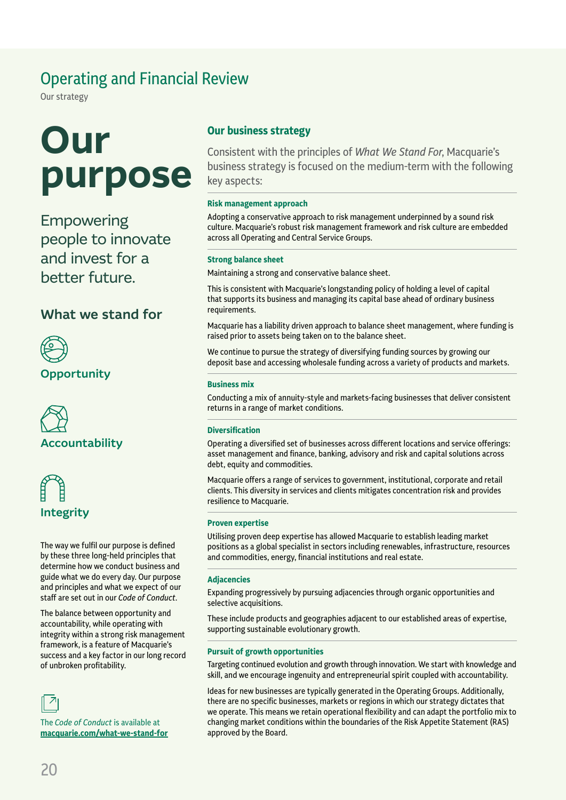Our strategy

# **Our purpose**

Empowering people to innovate and invest for a better future.

### What we stand for



Opportunity





The way we fulfil our purpose is defined by these three long-held principles that determine how we conduct business and guide what we do every day. Our purpose and principles and what we expect of our staff are set out in our *Code of Conduct*.

The balance between opportunity and accountability, while operating with integrity within a strong risk management framework, is a feature of Macquarie's success and a key factor in our long record of unbroken profitability.



The *Code of Conduct* is available at **[macquarie.com/wha](https://www.macquarie.com/about/what-we-stand-for.html)t-we-stand-for**

### **Our business strategy**

Consistent with the principles of *What We Stand For*, Macquarie's business strategy is focused on the medium-term with the following key aspects:

### **Risk management approach**

Adopting a conservative approach to risk management underpinned by a sound risk culture. Macquarie's robust risk management framework and risk culture are embedded across all Operating and Central Service Groups.

### **Strong balance sheet**

Maintaining a strong and conservative balance sheet.

This is consistent with Macquarie's longstanding policy of holding a level of capital that supports its business and managing its capital base ahead of ordinary business requirements.

Macquarie has a liability driven approach to balance sheet management, where funding is raised prior to assets being taken on to the balance sheet.

We continue to pursue the strategy of diversifying funding sources by growing our deposit base and accessing wholesale funding across a variety of products and markets.

### **Business mix**

Conducting a mix of annuity-style and markets-facing businesses that deliver consistent returns in a range of market conditions.

### **Diversification**

Operating a diversified set of businesses across different locations and service offerings: asset management and finance, banking, advisory and risk and capital solutions across debt, equity and commodities.

Macquarie offers a range of services to government, institutional, corporate and retail clients. This diversity in services and clients mitigates concentration risk and provides resilience to Macquarie.

### **Proven expertise**

Utilising proven deep expertise has allowed Macquarie to establish leading market positions as a global specialist in sectors including renewables, infrastructure, resources and commodities, energy, financial institutions and real estate.

### **Adjacencies**

Expanding progressively by pursuing adjacencies through organic opportunities and selective acquisitions.

These include products and geographies adjacent to our established areas of expertise, supporting sustainable evolutionary growth.

### **Pursuit of growth opportunities**

Targeting continued evolution and growth through innovation. We start with knowledge and skill, and we encourage ingenuity and entrepreneurial spirit coupled with accountability.

Ideas for new businesses are typically generated in the Operating Groups. Additionally, there are no specific businesses, markets or regions in which our strategy dictates that we operate. This means we retain operational flexibility and can adapt the portfolio mix to changing market conditions within the boundaries of the Risk Appetite Statement (RAS) approved by the Board.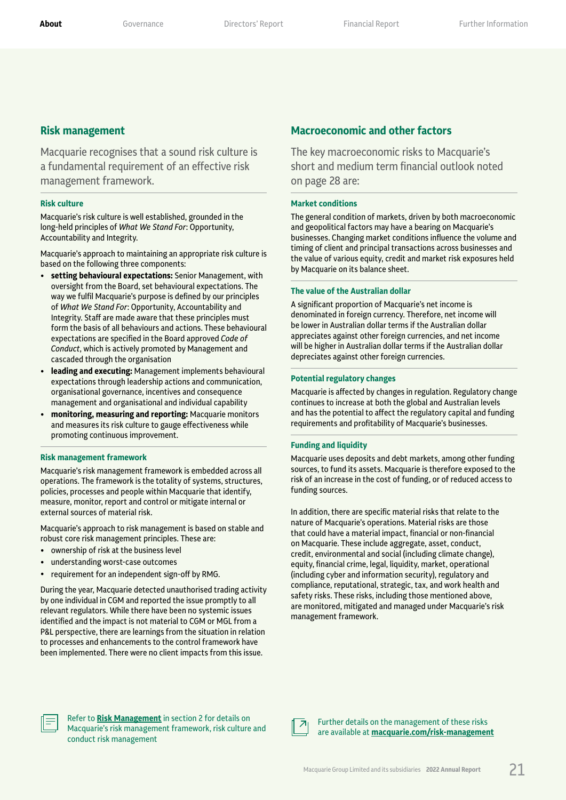### **Risk management**

Macquarie recognises that a sound risk culture is a fundamental requirement of an effective risk management framework.

### **Risk culture**

Macquarie's risk culture is well established, grounded in the long-held principles of *What We Stand For*: Opportunity, Accountability and Integrity.

Macquarie's approach to maintaining an appropriate risk culture is based on the following three components:

- **setting behavioural expectations:** Senior Management, with oversight from the Board, set behavioural expectations. The way we fulfil Macquarie's purpose is defined by our principles of *What We Stand For*: Opportunity, Accountability and Integrity. Staff are made aware that these principles must form the basis of all behaviours and actions. These behavioural expectations are specified in the Board approved *Code of Conduct*, which is actively promoted by Management and cascaded through the organisation
- **leading and executing:** Management implements behavioural expectations through leadership actions and communication, organisational governance, incentives and consequence management and organisational and individual capability
- **monitoring, measuring and reporting:** Macquarie monitors and measures its risk culture to gauge effectiveness while promoting continuous improvement.

#### **Risk management framework**

Macquarie's risk management framework is embedded across all operations. The framework is the totality of systems, structures, policies, processes and people within Macquarie that identify, measure, monitor, report and control or mitigate internal or external sources of material risk.

Macquarie's approach to risk management is based on stable and robust core risk management principles. These are:

- ownership of risk at the business level
- understanding worst-case outcomes
- requirement for an independent sign-off by RMG.

During the year, Macquarie detected unauthorised trading activity by one individual in CGM and reported the issue promptly to all relevant regulators. While there have been no systemic issues identified and the impact is not material to CGM or MGL from a P&L perspective, there are learnings from the situation in relation to processes and enhancements to the control framework have been implemented. There were no client impacts from this issue.

### **Macroeconomic and other factors**

The key macroeconomic risks to Macquarie's short and medium term financial outlook noted on page 28 are:

#### **Market conditions**

The general condition of markets, driven by both macroeconomic and geopolitical factors may have a bearing on Macquarie's businesses. Changing market conditions influence the volume and timing of client and principal transactions across businesses and the value of various equity, credit and market risk exposures held by Macquarie on its balance sheet.

#### **The value of the Australian dollar**

A significant proportion of Macquarie's net income is denominated in foreign currency. Therefore, net income will be lower in Australian dollar terms if the Australian dollar appreciates against other foreign currencies, and net income will be higher in Australian dollar terms if the Australian dollar depreciates against other foreign currencies.

### **Potential regulatory changes**

Macquarie is affected by changes in regulation. Regulatory change continues to increase at both the global and Australian levels and has the potential to affect the regulatory capital and funding requirements and profitability of Macquarie's businesses.

#### **Funding and liquidity**

Macquarie uses deposits and debt markets, among other funding sources, to fund its assets. Macquarie is therefore exposed to the risk of an increase in the cost of funding, or of reduced access to funding sources.

In addition, there are specific material risks that relate to the nature of Macquarie's operations. Material risks are those that could have a material impact, financial or non‑financial on Macquarie. These include aggregate, asset, conduct, credit, environmental and social (including climate change), equity, financial crime, legal, liquidity, market, operational (including cyber and information security), regulatory and compliance, reputational, strategic, tax, and work health and safety risks. These risks, including those mentioned above, are monitored, mitigated and managed under Macquarie's risk management framework.



Refer to **[Risk Management](#page--1-3)** in section 2 for details on Macquarie's risk management framework, risk culture and conduct risk management



Further details on the management of these risks are available at **[macquarie.com/ris](https://www.macquarie.com/about/company/risk-management.html)k-management**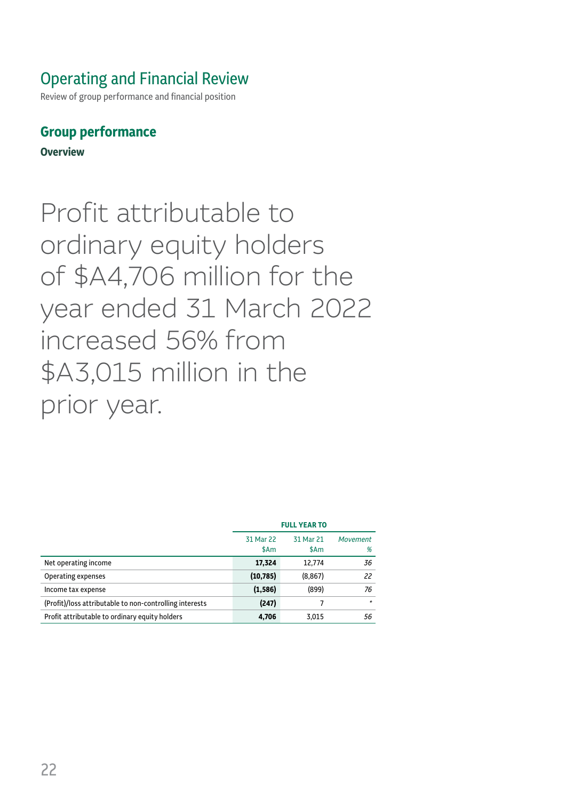Review of group performance and financial position

### **Group performance**

**Overview**

Profit attributable to ordinary equity holders of \$A4,706 million for the year ended 31 March 2022 increased 56% from \$A3,015 million in the prior year.

|                                                         | <b>FULL YEAR TO</b> |                   |                      |
|---------------------------------------------------------|---------------------|-------------------|----------------------|
|                                                         | 31 Mar 22<br>\$Am   | 31 Mar 21<br>\$Am | <b>Movement</b><br>% |
| Net operating income                                    | 17,324              | 12,774            | 36                   |
| Operating expenses                                      | (10, 785)           | (8, 867)          | 22                   |
| Income tax expense                                      | (1, 586)            | (899)             | 76                   |
| (Profit)/loss attributable to non-controlling interests | (247)               | 7                 | $\star$              |
| Profit attributable to ordinary equity holders          | 4,706               | 3,015             | 56                   |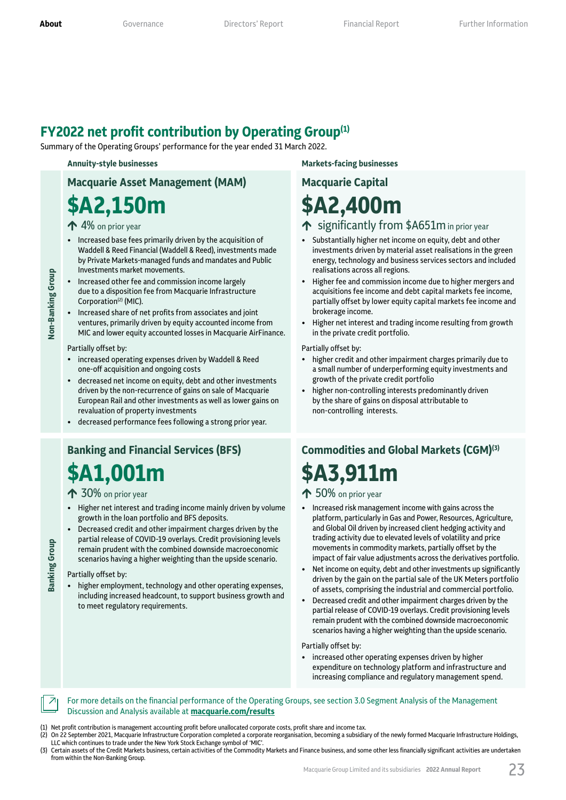### **FY2022 net profit contribution by Operating Group(1)**

Summary of the Operating Groups' performance for the year ended 31 March 2022.

## **Macquarie Asset Management (MAM)**

# **\$A2,150m**

### $\bigwedge$  4% on prior year

- Increased base fees primarily driven by the acquisition of Waddell & Reed Financial (Waddell & Reed), investments made by Private Markets-managed funds and mandates and Public Investments market movements.
- Increased other fee and commission income largely due to a disposition fee from Macquarie Infrastructure Corporation<sup>(2)</sup> (MIC).
- Increased share of net profits from associates and joint ventures, primarily driven by equity accounted income from MIC and lower equity accounted losses in Macquarie AirFinance.

#### Partially offset by:

**Non‑Banking Group**

Non-Banking Group

- increased operating expenses driven by Waddell & Reed one-off acquisition and ongoing costs
- decreased net income on equity, debt and other investments driven by the non-recurrence of gains on sale of Macquarie European Rail and other investments as well as lower gains on revaluation of property investments
- decreased performance fees following a strong prior year.

### **Banking and Financial Services (BFS) \$A1,001m**

### ◆ 30% on prior year

- Higher net interest and trading income mainly driven by volume growth in the loan portfolio and BFS deposits.
- Decreased credit and other impairment charges driven by the partial release of COVID-19 overlays. Credit provisioning levels remain prudent with the combined downside macroeconomic scenarios having a higher weighting than the upside scenario.

#### Partially offset by:

**Banking Group**

**Banking Group** 

• higher employment, technology and other operating expenses, including increased headcount, to support business growth and to meet regulatory requirements.

**Annuity‑style businesses Markets‑facing businesses** 

# **Macquarie Capital \$A2,400m**

### $\uparrow$  significantly from \$A651m in prior year

- Substantially higher net income on equity, debt and other investments driven by material asset realisations in the green energy, technology and business services sectors and included realisations across all regions.
- Higher fee and commission income due to higher mergers and acquisitions fee income and debt capital markets fee income, partially offset by lower equity capital markets fee income and brokerage income.
- Higher net interest and trading income resulting from growth in the private credit portfolio.

#### Partially offset by:

- higher credit and other impairment charges primarily due to a small number of underperforming equity investments and growth of the private credit portfolio
- higher non-controlling interests predominantly driven by the share of gains on disposal attributable to non-controlling interests.

# **Commodities and Global Markets (CGM)(3) \$A3,911m**

### $\bigwedge$  50% on prior year

- Increased risk management income with gains across the platform, particularly in Gas and Power, Resources, Agriculture, and Global Oil driven by increased client hedging activity and trading activity due to elevated levels of volatility and price movements in commodity markets, partially offset by the impact of fair value adjustments across the derivatives portfolio.
- Net income on equity, debt and other investments up significantly driven by the gain on the partial sale of the UK Meters portfolio of assets, comprising the industrial and commercial portfolio.
- Decreased credit and other impairment charges driven by the partial release of COVID-19 overlays. Credit provisioning levels remain prudent with the combined downside macroeconomic scenarios having a higher weighting than the upside scenario.

#### Partially offset by:

• increased other operating expenses driven by higher expenditure on technology platform and infrastructure and increasing compliance and regulatory management spend.

### For more details on the financial performance of the Operating Groups, see section 3.0 Segment Analysis of the Management Discussion and Analysis available at **[macquarie.c](https://www.macquarie.com/investors/results.html)om/results**

(1) Net profit contribution is management accounting profit before unallocated corporate costs, profit share and income tax.

- (2) On 22 September 2021, Macquarie Infrastructure Corporation completed a corporate reorganisation, becoming a subsidiary of the newly formed Macquarie Infrastructure Holdings, LLC which continues to trade under the New York Stock Exchange symbol of 'MIC'.
- (3) Certain assets of the Credit Markets business, certain activities of the Commodity Markets and Finance business, and some other less financially significant activities are undertaken from within the Non-Banking Group.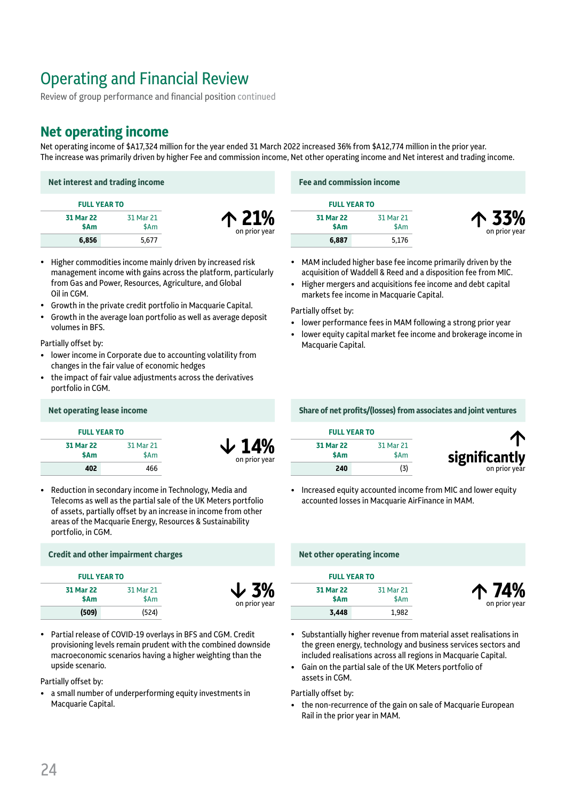Review of group performance and financial position continued

### **Net operating income**

Net operating income of \$A17,324 million for the year ended 31 March 2022 increased 36% from \$A12,774 million in the prior year. The increase was primarily driven by higher Fee and commission income, Net other operating income and Net interest and trading income.

| Net interest and trading income |                   |                        |  |
|---------------------------------|-------------------|------------------------|--|
| <b>FULL YEAR TO</b>             |                   |                        |  |
| 31 Mar 22<br>\$Am               | 31 Mar 21<br>\$Am | 个 21%<br>on prior year |  |
| 6,856                           | 5.677             |                        |  |

- Higher commodities income mainly driven by increased risk management income with gains across the platform, particularly from Gas and Power, Resources, Agriculture, and Global Oil in CGM.
- Growth in the private credit portfolio in Macquarie Capital.
- Growth in the average loan portfolio as well as average deposit volumes in BFS.

Partially offset by:

- lower income in Corporate due to accounting volatility from changes in the fair value of economic hedges
- the impact of fair value adjustments across the derivatives portfolio in CGM.

### **Net interest and trading income Fee and commission income**

| <b>FULL YEAR TO</b> |                   |
|---------------------|-------------------|
| 31 Mar 22<br>\$Am   | 31 Mar 21<br>\$Am |
| 6,887               | 5.176             |



- MAM included higher base fee income primarily driven by the acquisition of Waddell & Reed and a disposition fee from MIC.
- Higher mergers and acquisitions fee income and debt capital markets fee income in Macquarie Capital.

Partially offset by:

- lower performance fees in MAM following a strong prior year
- lower equity capital market fee income and brokerage income in Macquarie Capital.

| <b>FULL YEAR TO</b> |                   |  |
|---------------------|-------------------|--|
| 31 Mar 22<br>\$Am   | 31 Mar 21<br>\$Am |  |
| 402                 | 466               |  |

¶ **14%** on prior year

> ¶ **3%** on prior yea

• Reduction in secondary income in Technology, Media and Telecoms as well as the partial sale of the UK Meters portfolio of assets, partially offset by an increase in income from other areas of the Macquarie Energy, Resources & Sustainability portfolio, in CGM.

### **Credit and other impairment charges Net other operating income**

| <b>FULL YEAR TO</b> |                   |
|---------------------|-------------------|
| 31 Mar 22<br>\$Am   | 31 Mar 21<br>\$Am |
| (509)               | (524)             |

• Partial release of COVID-19 overlays in BFS and CGM. Credit provisioning levels remain prudent with the combined downside macroeconomic scenarios having a higher weighting than the upside scenario.

### Partially offset by:

• a small number of underperforming equity investments in Macquarie Capital.

### **Net operating lease income Share of net profits/(losses) from associates and joint ventures**

| <b>FULL YEAR TO</b> |                   |
|---------------------|-------------------|
| 31 Mar 22<br>\$Am   | 31 Mar 21<br>\$Am |
| 240                 | (3)               |



µ **74%** on prior year

• Increased equity accounted income from MIC and lower equity accounted losses in Macquarie AirFinance in MAM.

| <b>FULL YEAR TO</b> |           |
|---------------------|-----------|
| 31 Mar 22           | 31 Mar 21 |
| \$Am                | \$Am      |
| 3,448               | 1.982     |

- Substantially higher revenue from material asset realisations in the green energy, technology and business services sectors and included realisations across all regions in Macquarie Capital.
- Gain on the partial sale of the UK Meters portfolio of assets in CGM.

### Partially offset by:

• the non-recurrence of the gain on sale of Macquarie European Rail in the prior year in MAM.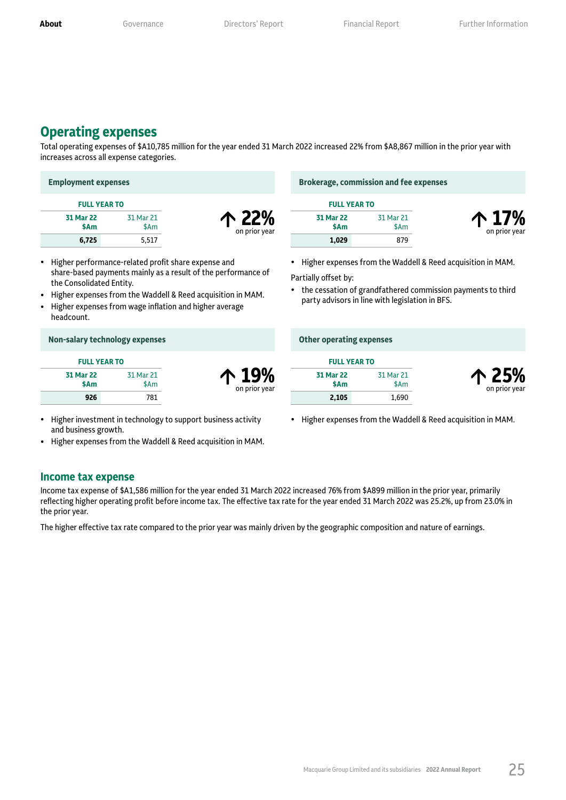### **Operating expenses**

Total operating expenses of \$A10,785 million for the year ended 31 March 2022 increased 22% from \$A8,867 million in the prior year with increases across all expense categories.

| <b>Employment expenses</b> |                   |                        | <b>Brokerage, commission and fee expenses</b> |                   |                        |
|----------------------------|-------------------|------------------------|-----------------------------------------------|-------------------|------------------------|
| <b>FULL YEAR TO</b>        |                   |                        | <b>FULL YEAR TO</b>                           |                   |                        |
| 31 Mar 22<br>\$Am          | 31 Mar 21<br>\$Am | 个 22%<br>on prior year | 31 Mar 22<br>\$Am                             | 31 Mar 21<br>\$Am | 个 17%<br>on prior year |
| 6,725                      | 5,517             |                        | 1,029                                         | 879               |                        |

- Higher performance-related profit share expense and share-based payments mainly as a result of the performance of the Consolidated Entity.
- Higher expenses from the Waddell & Reed acquisition in MAM.
- Higher expenses from wage inflation and higher average headcount.

| Non-salary technology expenses |                   |                        | <b>Other operating expenses</b> |      |  |
|--------------------------------|-------------------|------------------------|---------------------------------|------|--|
| <b>FULL YEAR TO</b>            |                   |                        | <b>FULL YEAR TO</b>             |      |  |
| <b>31 Mar 22</b><br>\$Am       | 31 Mar 21<br>\$Am | 个 19%<br>on prior year | <b>31 Mar 22</b><br>\$Am        | 31 M |  |
| 926                            | 781               |                        | 2,105                           |      |  |

- Higher investment in technology to support business activity and business growth.
- Higher expenses from the Waddell & Reed acquisition in MAM.

### **Income tax expense**

Income tax expense of \$A1,586 million for the year ended 31 March 2022 increased 76% from \$A899 million in the prior year, primarily reflecting higher operating profit before income tax. The effective tax rate for the year ended 31 March 2022 was 25.2%, up from 23.0% in the prior year.

The higher effective tax rate compared to the prior year was mainly driven by the geographic composition and nature of earnings.

• Higher expenses from the Waddell & Reed acquisition in MAM.

Partially offset by:

• the cessation of grandfathered commission payments to third party advisors in line with legislation in BFS.

|                   | <b>FULL YEAR TO</b> |  |  |
|-------------------|---------------------|--|--|
| 31 Mar 22<br>\$Am | 31 Mar 21<br>\$Am   |  |  |
| 2,105             | 1,690               |  |  |



• Higher expenses from the Waddell & Reed acquisition in MAM.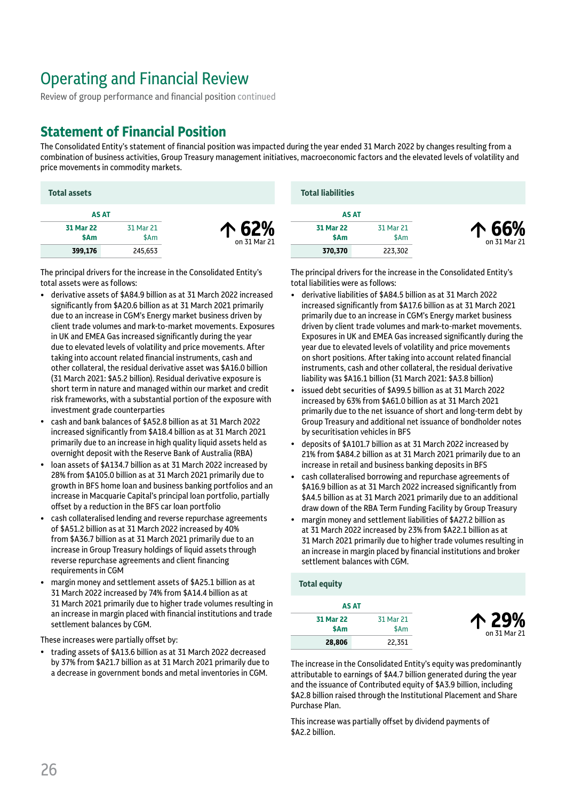Review of group performance and financial position continued

### **Statement of Financial Position**

The Consolidated Entity's statement of financial position was impacted during the year ended 31 March 2022 by changes resulting from a combination of business activities, Group Treasury management initiatives, macroeconomic factors and the elevated levels of volatility and price movements in commodity markets.

| <b>Total assets</b> |                   |                       | <b>Total liabilities</b> |                   |                       |  |
|---------------------|-------------------|-----------------------|--------------------------|-------------------|-----------------------|--|
| <b>AS AT</b>        |                   |                       | <b>AS AT</b>             |                   |                       |  |
| 31 Mar 22<br>\$Am   | 31 Mar 21<br>\$Am | 个 62%<br>on 31 Mar 21 | <b>31 Mar 22</b><br>\$Am | 31 Mar 21<br>\$Am | 个 66%<br>on 31 Mar 21 |  |
| 399,176             | 245,653           |                       | 370,370                  | 223,302           |                       |  |

The principal drivers for the increase in the Consolidated Entity's total assets were as follows:

- derivative assets of \$A84.9 billion as at 31 March 2022 increased significantly from \$A20.6 billion as at 31 March 2021 primarily due to an increase in CGM's Energy market business driven by client trade volumes and mark-to-market movements. Exposures in UK and EMEA Gas increased significantly during the year due to elevated levels of volatility and price movements. After taking into account related financial instruments, cash and other collateral, the residual derivative asset was \$A16.0 billion (31 March 2021: \$A5.2 billion). Residual derivative exposure is short term in nature and managed within our market and credit risk frameworks, with a substantial portion of the exposure with investment grade counterparties
- cash and bank balances of \$A52.8 billion as at 31 March 2022 increased significantly from \$A18.4 billion as at 31 March 2021 primarily due to an increase in high quality liquid assets held as overnight deposit with the Reserve Bank of Australia (RBA)
- loan assets of \$A134.7 billion as at 31 March 2022 increased by 28% from \$A105.0 billion as at 31 March 2021 primarily due to growth in BFS home loan and business banking portfolios and an increase in Macquarie Capital's principal loan portfolio, partially offset by a reduction in the BFS car loan portfolio
- cash collateralised lending and reverse repurchase agreements of \$A51.2 billion as at 31 March 2022 increased by 40% from \$A36.7 billion as at 31 March 2021 primarily due to an increase in Group Treasury holdings of liquid assets through reverse repurchase agreements and client financing requirements in CGM
- margin money and settlement assets of \$A25.1 billion as at 31 March 2022 increased by 74% from \$A14.4 billion as at 31 March 2021 primarily due to higher trade volumes resulting in an increase in margin placed with financial institutions and trade settlement balances by CGM.

These increases were partially offset by:

• trading assets of \$A13.6 billion as at 31 March 2022 decreased by 37% from \$A21.7 billion as at 31 March 2021 primarily due to a decrease in government bonds and metal inventories in CGM.

The principal drivers for the increase in the Consolidated Entity's total liabilities were as follows:

- derivative liabilities of \$A84.5 billion as at 31 March 2022 increased significantly from \$A17.6 billion as at 31 March 2021 primarily due to an increase in CGM's Energy market business driven by client trade volumes and mark-to-market movements. Exposures in UK and EMEA Gas increased significantly during the year due to elevated levels of volatility and price movements on short positions. After taking into account related financial instruments, cash and other collateral, the residual derivative liability was \$A16.1 billion (31 March 2021: \$A3.8 billion)
- issued debt securities of \$A99.5 billion as at 31 March 2022 increased by 63% from \$A61.0 billion as at 31 March 2021 primarily due to the net issuance of short and long-term debt by Group Treasury and additional net issuance of bondholder notes by securitisation vehicles in BFS
- deposits of \$A101.7 billion as at 31 March 2022 increased by 21% from \$A84.2 billion as at 31 March 2021 primarily due to an increase in retail and business banking deposits in BFS
- cash collateralised borrowing and repurchase agreements of \$A16.9 billion as at 31 March 2022 increased significantly from \$A4.5 billion as at 31 March 2021 primarily due to an additional draw down of the RBA Term Funding Facility by Group Treasury
- margin money and settlement liabilities of \$A27.2 billion as at 31 March 2022 increased by 23% from \$A22.1 billion as at 31 March 2021 primarily due to higher trade volumes resulting in an increase in margin placed by financial institutions and broker settlement balances with CGM.

**Total equity**

|                       |                   | AS AT             |
|-----------------------|-------------------|-------------------|
| 个 29%<br>on 31 Mar 21 | 31 Mar 21<br>\$Am | 31 Mar 22<br>\$Am |
|                       | 22,351            | 28,806            |

The increase in the Consolidated Entity's equity was predominantly attributable to earnings of \$A4.7 billion generated during the year and the issuance of Contributed equity of \$A3.9 billion, including \$A2.8 billion raised through the Institutional Placement and Share Purchase Plan.

This increase was partially offset by dividend payments of \$A2.2 billion.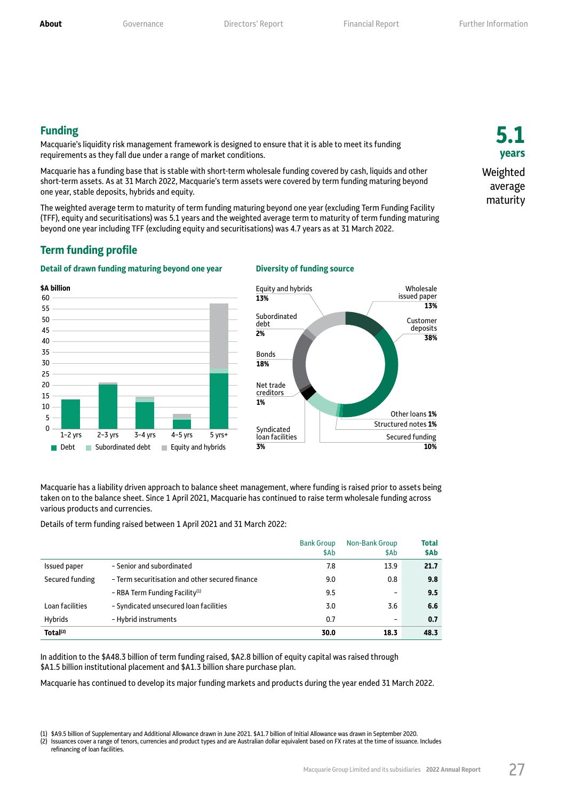**5.1 years**

Weighted average maturity

### **Funding**

Macquarie's liquidity risk management framework is designed to ensure that it is able to meet its funding requirements as they fall due under a range of market conditions.

Macquarie has a funding base that is stable with short-term wholesale funding covered by cash, liquids and other short-term assets. As at 31 March 2022, Macquarie's term assets were covered by term funding maturing beyond one year, stable deposits, hybrids and equity.

The weighted average term to maturity of term funding maturing beyond one year (excluding Term Funding Facility (TFF), equity and securitisations) was 5.1 years and the weighted average term to maturity of term funding maturing beyond one year including TFF (excluding equity and securitisations) was 4.7 years as at 31 March 2022.

### **Term funding profile**

#### **Detail of drawn funding maturing beyond one year Diversity of funding source**





Macquarie has a liability driven approach to balance sheet management, where funding is raised prior to assets being taken on to the balance sheet. Since 1 April 2021, Macquarie has continued to raise term wholesale funding across various products and currencies.

Details of term funding raised between 1 April 2021 and 31 March 2022:

|                      |                                                 | <b>Bank Group</b><br>\$Ab | Non-Bank Group<br>\$Ab       | Total<br>\$Ab |
|----------------------|-------------------------------------------------|---------------------------|------------------------------|---------------|
| <b>Issued paper</b>  | - Senior and subordinated                       | 7.8                       | 13.9                         | 21.7          |
| Secured funding      | - Term securitisation and other secured finance | 9.0                       | 0.8                          | 9.8           |
|                      | - RBA Term Funding Facility <sup>(1)</sup>      | 9.5                       | $\overline{\phantom{a}}$     | 9.5           |
| Loan facilities      | - Syndicated unsecured loan facilities          | 3.0                       | 3.6                          | 6.6           |
| Hybrids              | - Hybrid instruments                            | 0.7                       | $\qquad \qquad \blacksquare$ | 0.7           |
| Total <sup>(2)</sup> |                                                 | 30.0                      | 18.3                         | 48.3          |

In addition to the \$A48.3 billion of term funding raised, \$A2.8 billion of equity capital was raised through \$A1.5 billion institutional placement and \$A1.3 billion share purchase plan.

Macquarie has continued to develop its major funding markets and products during the year ended 31 March 2022.

<sup>(1)</sup> \$A9.5 billion of Supplementary and Additional Allowance drawn in June 2021. \$A1.7 billion of Initial Allowance was drawn in September 2020.

Issuances cover a range of tenors, currencies and product types and are Australian dollar equivalent based on FX rates at the time of issuance. Includes refinancing of loan facilities.